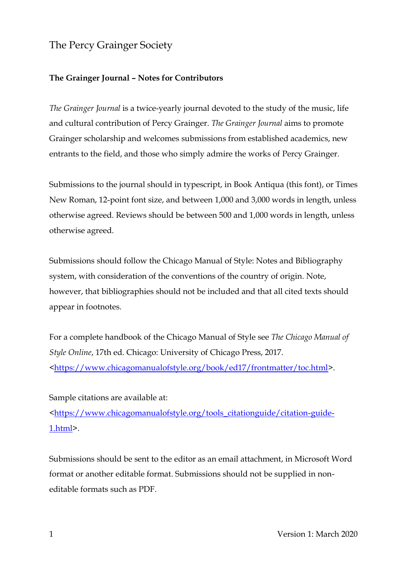# The Percy Grainger Society

## **The Grainger Journal – Notes for Contributors**

*The Grainger Journal* is a twice-yearly journal devoted to the study of the music, life and cultural contribution of Percy Grainger. *The Grainger Journal* aims to promote Grainger scholarship and welcomes submissions from established academics, new entrants to the field, and those who simply admire the works of Percy Grainger.

Submissions to the journal should in typescript, in Book Antiqua (this font), or Times New Roman, 12-point font size, and between 1,000 and 3,000 words in length, unless otherwise agreed. Reviews should be between 500 and 1,000 words in length, unless otherwise agreed.

Submissions should follow the Chicago Manual of Style: Notes and Bibliography system, with consideration of the conventions of the country of origin. Note, however, that bibliographies should not be included and that all cited texts should appear in footnotes.

For a complete handbook of the Chicago Manual of Style see *The Chicago Manual of Style Online*, 17th ed. Chicago: University of Chicago Press, 2017. [<https://www.chicagomanualofstyle.org/book/ed17/frontmatter/toc.html>](https://www.chicagomanualofstyle.org/book/ed17/frontmatter/toc.html).

## Sample citations are available at:

[<https://www.chicagomanualofstyle.org/tools\\_citationguide/citation-guide-](https://www.chicagomanualofstyle.org/tools_citationguide/citation-guide-1.html)[1.html>](https://www.chicagomanualofstyle.org/tools_citationguide/citation-guide-1.html).

Submissions should be sent to the editor as an email attachment, in Microsoft Word format or another editable format. Submissions should not be supplied in noneditable formats such as PDF.